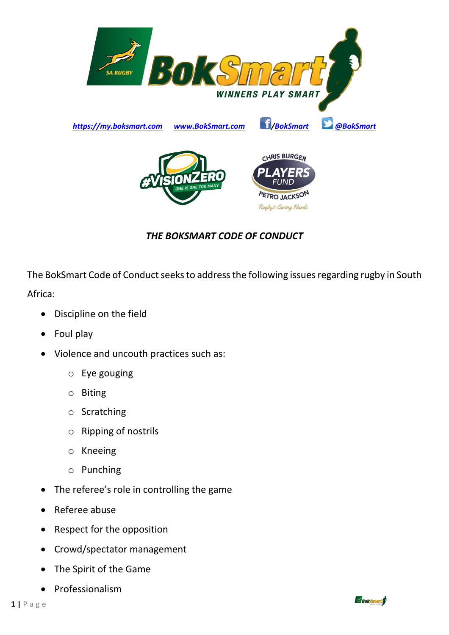

## *THE BOKSMART CODE OF CONDUCT*

The BokSmart Code of Conduct seeks to address the following issues regarding rugby in South Africa:

- Discipline on the field
- Foul play
- Violence and uncouth practices such as:
	- o Eye gouging
	- o Biting
	- o Scratching
	- o Ripping of nostrils
	- o Kneeing
	- o Punching
- The referee's role in controlling the game
- Referee abuse
- Respect for the opposition
- Crowd/spectator management
- The Spirit of the Game
- **Professionalism**

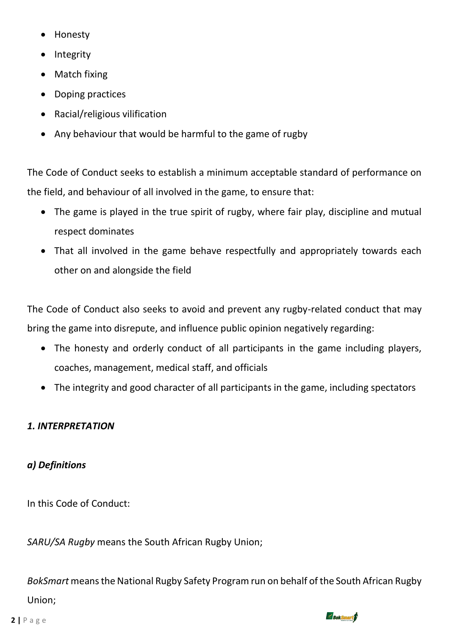- Honesty
- **Integrity**
- Match fixing
- Doping practices
- Racial/religious vilification
- Any behaviour that would be harmful to the game of rugby

The Code of Conduct seeks to establish a minimum acceptable standard of performance on the field, and behaviour of all involved in the game, to ensure that:

- The game is played in the true spirit of rugby, where fair play, discipline and mutual respect dominates
- That all involved in the game behave respectfully and appropriately towards each other on and alongside the field

The Code of Conduct also seeks to avoid and prevent any rugby-related conduct that may bring the game into disrepute, and influence public opinion negatively regarding:

- The honesty and orderly conduct of all participants in the game including players, coaches, management, medical staff, and officials
- The integrity and good character of all participants in the game, including spectators

# *1. INTERPRETATION*

# *a) Definitions*

In this Code of Conduct:

*SARU/SA Rugby* means the South African Rugby Union;

*BokSmart* means the National Rugby Safety Program run on behalf of the South African Rugby Union;

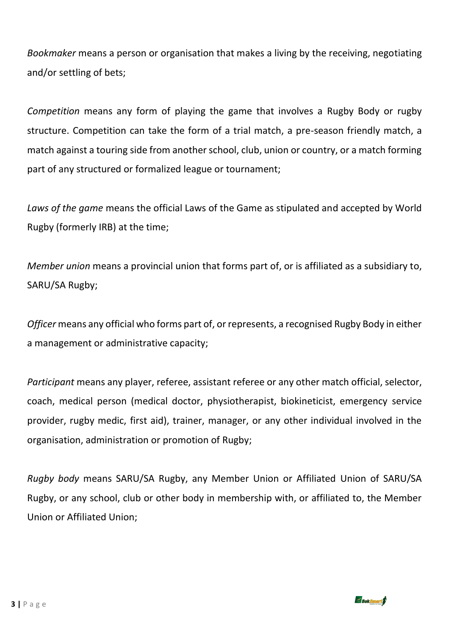*Bookmaker* means a person or organisation that makes a living by the receiving, negotiating and/or settling of bets;

*Competition* means any form of playing the game that involves a Rugby Body or rugby structure. Competition can take the form of a trial match, a pre-season friendly match, a match against a touring side from another school, club, union or country, or a match forming part of any structured or formalized league or tournament;

*Laws of the game* means the official Laws of the Game as stipulated and accepted by World Rugby (formerly IRB) at the time;

*Member union* means a provincial union that forms part of, or is affiliated as a subsidiary to, SARU/SA Rugby;

*Officer* means any official who forms part of, or represents, a recognised Rugby Body in either a management or administrative capacity;

*Participant* means any player, referee, assistant referee or any other match official, selector, coach, medical person (medical doctor, physiotherapist, biokineticist, emergency service provider, rugby medic, first aid), trainer, manager, or any other individual involved in the organisation, administration or promotion of Rugby;

*Rugby body* means SARU/SA Rugby, any Member Union or Affiliated Union of SARU/SA Rugby, or any school, club or other body in membership with, or affiliated to, the Member Union or Affiliated Union;

 $\leq$  Bok Smart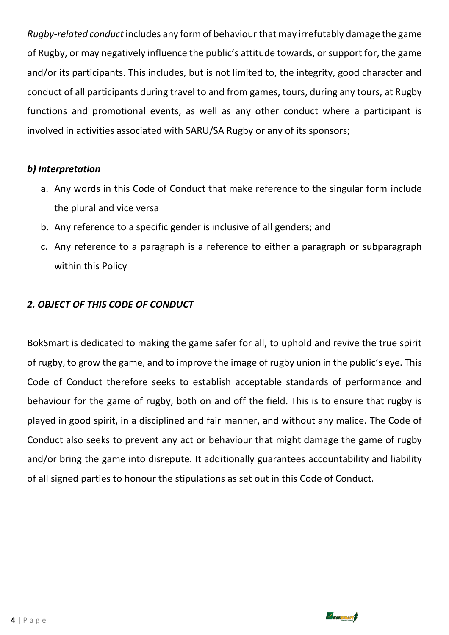*Rugby-related conduct* includes any form of behaviour that may irrefutably damage the game of Rugby, or may negatively influence the public's attitude towards, or support for, the game and/or its participants. This includes, but is not limited to, the integrity, good character and conduct of all participants during travel to and from games, tours, during any tours, at Rugby functions and promotional events, as well as any other conduct where a participant is involved in activities associated with SARU/SA Rugby or any of its sponsors;

### *b) Interpretation*

- a. Any words in this Code of Conduct that make reference to the singular form include the plural and vice versa
- b. Any reference to a specific gender is inclusive of all genders; and
- c. Any reference to a paragraph is a reference to either a paragraph or subparagraph within this Policy

### *2. OBJECT OF THIS CODE OF CONDUCT*

BokSmart is dedicated to making the game safer for all, to uphold and revive the true spirit of rugby, to grow the game, and to improve the image of rugby union in the public's eye. This Code of Conduct therefore seeks to establish acceptable standards of performance and behaviour for the game of rugby, both on and off the field. This is to ensure that rugby is played in good spirit, in a disciplined and fair manner, and without any malice. The Code of Conduct also seeks to prevent any act or behaviour that might damage the game of rugby and/or bring the game into disrepute. It additionally guarantees accountability and liability of all signed parties to honour the stipulations as set out in this Code of Conduct.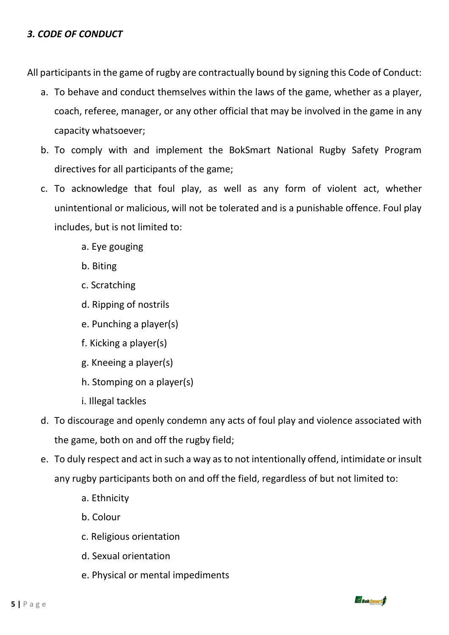#### *3. CODE OF CONDUCT*

All participants in the game of rugby are contractually bound by signing this Code of Conduct:

- a. To behave and conduct themselves within the laws of the game, whether as a player, coach, referee, manager, or any other official that may be involved in the game in any capacity whatsoever;
- b. To comply with and implement the BokSmart National Rugby Safety Program directives for all participants of the game;
- c. To acknowledge that foul play, as well as any form of violent act, whether unintentional or malicious, will not be tolerated and is a punishable offence. Foul play includes, but is not limited to:
	- a. Eye gouging
	- b. Biting
	- c. Scratching
	- d. Ripping of nostrils
	- e. Punching a player(s)
	- f. Kicking a player(s)
	- g. Kneeing a player(s)
	- h. Stomping on a player(s)
	- i. Illegal tackles
- d. To discourage and openly condemn any acts of foul play and violence associated with the game, both on and off the rugby field;
- e. To duly respect and act in such a way as to not intentionally offend, intimidate or insult any rugby participants both on and off the field, regardless of but not limited to:
	- a. Ethnicity
	- b. Colour
	- c. Religious orientation
	- d. Sexual orientation
	- e. Physical or mental impediments



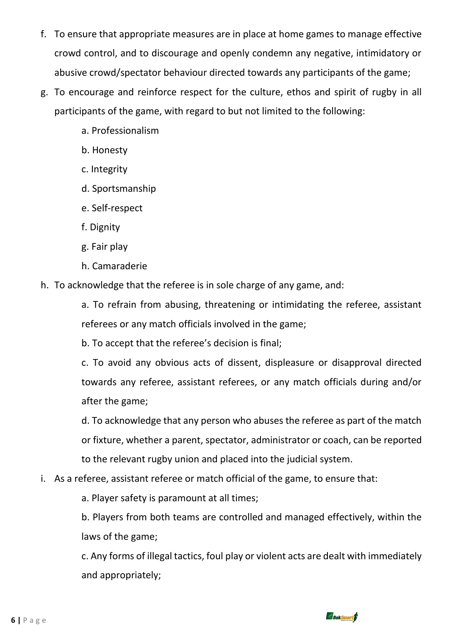- f. To ensure that appropriate measures are in place at home games to manage effective crowd control, and to discourage and openly condemn any negative, intimidatory or abusive crowd/spectator behaviour directed towards any participants of the game;
- g. To encourage and reinforce respect for the culture, ethos and spirit of rugby in all participants of the game, with regard to but not limited to the following:
	- a. Professionalism
	- b. Honesty
	- c. Integrity
	- d. Sportsmanship
	- e. Self-respect
	- f. Dignity
	- g. Fair play
	- h. Camaraderie
- h. To acknowledge that the referee is in sole charge of any game, and:

a. To refrain from abusing, threatening or intimidating the referee, assistant referees or any match officials involved in the game;

b. To accept that the referee's decision is final;

c. To avoid any obvious acts of dissent, displeasure or disapproval directed towards any referee, assistant referees, or any match officials during and/or after the game;

d. To acknowledge that any person who abuses the referee as part of the match or fixture, whether a parent, spectator, administrator or coach, can be reported to the relevant rugby union and placed into the judicial system.

i. As a referee, assistant referee or match official of the game, to ensure that:

a. Player safety is paramount at all times;

b. Players from both teams are controlled and managed effectively, within the laws of the game;

c. Any forms of illegal tactics, foul play or violent acts are dealt with immediately and appropriately;

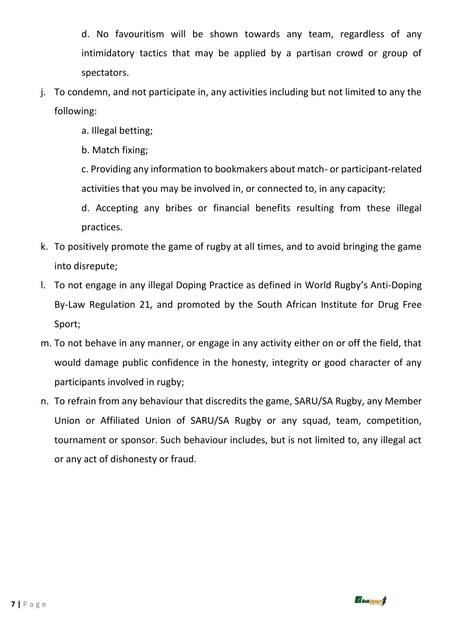d. No favouritism will be shown towards any team, regardless of any intimidatory tactics that may be applied by a partisan crowd or group of spectators.

- j. To condemn, and not participate in, any activities including but not limited to any the following:
	- a. Illegal betting;

b. Match fixing;

c. Providing any information to bookmakers about match- or participant-related activities that you may be involved in, or connected to, in any capacity;

d. Accepting any bribes or financial benefits resulting from these illegal practices.

- k. To positively promote the game of rugby at all times, and to avoid bringing the game into disrepute;
- l. To not engage in any illegal Doping Practice as defined in World Rugby's Anti-Doping By-Law Regulation 21, and promoted by the South African Institute for Drug Free Sport;
- m. To not behave in any manner, or engage in any activity either on or off the field, that would damage public confidence in the honesty, integrity or good character of any participants involved in rugby;
- n. To refrain from any behaviour that discredits the game, SARU/SA Rugby, any Member Union or Affiliated Union of SARU/SA Rugby or any squad, team, competition, tournament or sponsor. Such behaviour includes, but is not limited to, any illegal act or any act of dishonesty or fraud.

Boksmart